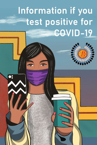## Information if you test positive for **COVID-19**